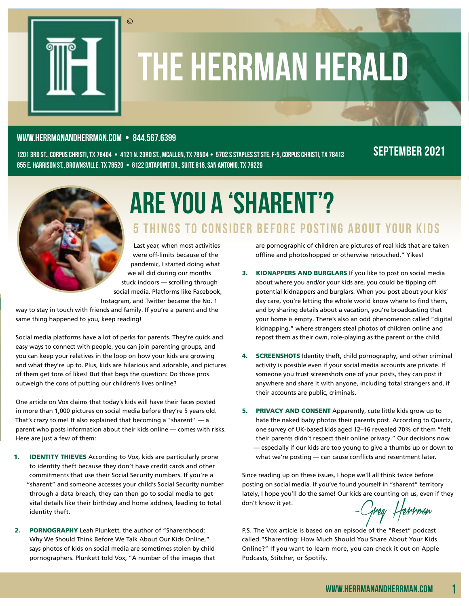

# the Herrman Herald

#### www.herrmanandherrman.com **•** 844.567.6399

©

1201 3rd St., Corpus Christi, TX 78404 **•** 4121 N. 23rd St., McAllen, TX 78504 **•** 5702 S Staples St Ste. F-5, Corpus Christi, TX 78413 855 E. Harrison st., brownsville, tx 78520 **•** 8122 Datapoint Dr., Suite 816, San antonio, TX 78229

#### september 2021



## Are You a 'Sharent'? 5 Things to Consider Before Posting About Your Kids

Last year, when most activities were off-limits because of the pandemic, I started doing what we all did during our months stuck indoors — scrolling through social media. Platforms like Facebook, Instagram, and Twitter became the No. 1

way to stay in touch with friends and family. If you're a parent and the same thing happened to you, keep reading!

Social media platforms have a lot of perks for parents. They're quick and easy ways to connect with people, you can join parenting groups, and you can keep your relatives in the loop on how your kids are growing and what they're up to. Plus, kids are hilarious and adorable, and pictures of them get tons of likes! But that begs the question: Do those pros outweigh the cons of putting our children's lives online?

One article on Vox claims that today's kids will have their faces posted in more than 1,000 pictures on social media before they're 5 years old. That's crazy to me! It also explained that becoming a "sharent" — a parent who posts information about their kids online — comes with risks. Here are just a few of them:

- 1. **IDENTITY THIEVES** According to Vox, kids are particularly prone to identity theft because they don't have credit cards and other commitments that use their Social Security numbers. If you're a "sharent" and someone accesses your child's Social Security number through a data breach, they can then go to social media to get vital details like their birthday and home address, leading to total identity theft.
- 2. PORNOGRAPHY Leah Plunkett, the author of "Sharenthood: Why We Should Think Before We Talk About Our Kids Online," says photos of kids on social media are sometimes stolen by child pornographers. Plunkett told Vox, "A number of the images that

are pornographic of children are pictures of real kids that are taken offline and photoshopped or otherwise retouched." Yikes!

- 3. KIDNAPPERS AND BURGLARS If you like to post on social media about where you and/or your kids are, you could be tipping off potential kidnappers and burglars. When you post about your kids' day care, you're letting the whole world know where to find them, and by sharing details about a vacation, you're broadcasting that your home is empty. There's also an odd phenomenon called "digital kidnapping," where strangers steal photos of children online and repost them as their own, role-playing as the parent or the child.
- 4. **SCREENSHOTS** Identity theft, child pornography, and other criminal activity is possible even if your social media accounts are private. If someone you trust screenshots one of your posts, they can post it anywhere and share it with anyone, including total strangers and, if their accounts are public, criminals.
- 5. PRIVACY AND CONSENT Apparently, cute little kids grow up to hate the naked baby photos their parents post. According to Quartz, one survey of UK-based kids aged 12–16 revealed 70% of them "felt their parents didn't respect their online privacy." Our decisions now — especially if our kids are too young to give a thumbs up or down to what we're posting — can cause conflicts and resentment later.

Since reading up on these issues, I hope we'll all think twice before posting on social media. If you've found yourself in "sharent" territory lately, I hope you'll do the same! Our kids are counting on us, even if they don't know it yet.

–Greg Herrman

P.S. The Vox article is based on an episode of the "Reset" podcast called "Sharenting: How Much Should You Share About Your Kids Online?" If you want to learn more, you can check it out on Apple Podcasts, Stitcher, or Spotify.

1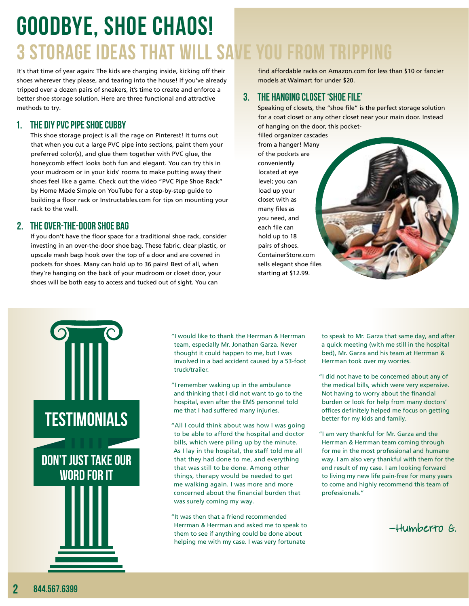## Goodbye, Shoe Chaos! 3 Storage Ideas That Will Save You From Tripping

It's that time of year again: The kids are charging inside, kicking off their shoes wherever they please, and tearing into the house! If you've already tripped over a dozen pairs of sneakers, it's time to create and enforce a better shoe storage solution. Here are three functional and attractive methods to try.

#### 1. THE DIY PVC PIPE SHOE CUBBY

This shoe storage project is all the rage on Pinterest! It turns out that when you cut a large PVC pipe into sections, paint them your preferred color(s), and glue them together with PVC glue, the honeycomb effect looks both fun and elegant. You can try this in your mudroom or in your kids' rooms to make putting away their shoes feel like a game. Check out the video "PVC Pipe Shoe Rack" by Home Made Simple on YouTube for a step-by-step guide to building a floor rack or Instructables.com for tips on mounting your rack to the wall.

#### 2. THE OVER-THE-DOOR SHOE BAG

If you don't have the floor space for a traditional shoe rack, consider investing in an over-the-door shoe bag. These fabric, clear plastic, or upscale mesh bags hook over the top of a door and are covered in pockets for shoes. Many can hold up to 36 pairs! Best of all, when they're hanging on the back of your mudroom or closet door, your shoes will be both easy to access and tucked out of sight. You can

find affordable racks on Amazon.com for less than \$10 or fancier models at Walmart for under \$20.

#### 3. THE HANGING CLOSET 'SHOE FILE'

Speaking of closets, the "shoe file" is the perfect storage solution for a coat closet or any other closet near your main door. Instead of hanging on the door, this pocket-

filled organizer cascades from a hanger! Many of the pockets are conveniently located at eye level; you can load up your closet with as many files as you need, and each file can hold up to 18 pairs of shoes. ContainerStore.com sells elegant shoe files starting at \$12.99.



- "I would like to thank the Herrman & Herrman team, especially Mr. Jonathan Garza. Never thought it could happen to me, but I was involved in a bad accident caused by a 53-foot truck/trailer.
- "I remember waking up in the ambulance and thinking that I did not want to go to the hospital, even after the EMS personnel told me that I had suffered many injuries.
- "All I could think about was how I was going to be able to afford the hospital and doctor bills, which were piling up by the minute. As I lay in the hospital, the staff told me all that they had done to me, and everything that was still to be done. Among other things, therapy would be needed to get me walking again. I was more and more concerned about the financial burden that was surely coming my way.
- "It was then that a friend recommended Herrman & Herrman and asked me to speak to them to see if anything could be done about helping me with my case. I was very fortunate
- to speak to Mr. Garza that same day, and after a quick meeting (with me still in the hospital bed), Mr. Garza and his team at Herrman & Herrman took over my worries.
- "I did not have to be concerned about any of the medical bills, which were very expensive. Not having to worry about the financial burden or look for help from many doctors' offices definitely helped me focus on getting better for my kids and family.
- "I am very thankful for Mr. Garza and the Herrman & Herrman team coming through for me in the most professional and humane way. I am also very thankful with them for the end result of my case. I am looking forward to living my new life pain-free for many years to come and highly recommend this team of professionals."

–Humberto G.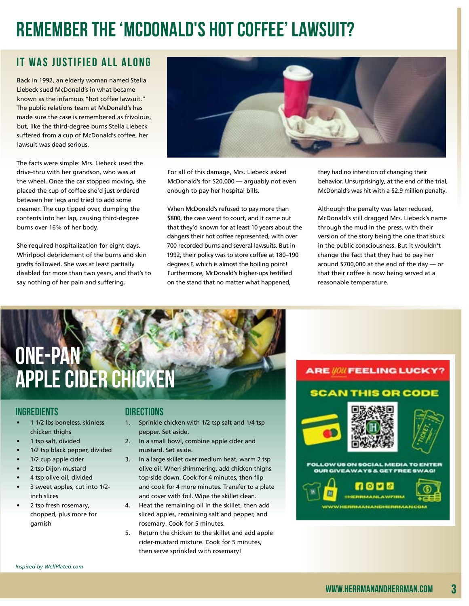## **Remember the 'McDonald's Hot Coffee' Lawsuit?**

### It Was Justified All Along

Back in 1992, an elderly woman named Stella Liebeck sued McDonald's in what became known as the infamous "hot coffee lawsuit." The public relations team at McDonald's has made sure the case is remembered as frivolous, but, like the third-degree burns Stella Liebeck suffered from a cup of McDonald's coffee, her lawsuit was dead serious.

The facts were simple: Mrs. Liebeck used the drive-thru with her grandson, who was at the wheel. Once the car stopped moving, she placed the cup of coffee she'd just ordered between her legs and tried to add some creamer. The cup tipped over, dumping the contents into her lap, causing third-degree burns over 16% of her body.

She required hospitalization for eight days. Whirlpool debridement of the burns and skin grafts followed. She was at least partially disabled for more than two years, and that's to say nothing of her pain and suffering.



For all of this damage, Mrs. Liebeck asked McDonald's for \$20,000 — arguably not even enough to pay her hospital bills.

When McDonald's refused to pay more than \$800, the case went to court, and it came out that they'd known for at least 10 years about the dangers their hot coffee represented, with over 700 recorded burns and several lawsuits. But in 1992, their policy was to store coffee at 180–190 degrees F, which is almost the boiling point! Furthermore, McDonald's higher-ups testified on the stand that no matter what happened,

they had no intention of changing their behavior. Unsurprisingly, at the end of the trial, McDonald's was hit with a \$2.9 million penalty.

Although the penalty was later reduced, McDonald's still dragged Mrs. Liebeck's name through the mud in the press, with their version of the story being the one that stuck in the public consciousness. But it wouldn't change the fact that they had to pay her around \$700,000 at the end of the day — or that their coffee is now being served at a reasonable temperature.

## One-Pan Apple Cider Chicken

#### INGREDIENTS DIRECTIONS

- 1 1/2 lbs boneless, skinless chicken thighs
- 1 tsp salt, divided
- 1/2 tsp black pepper, divided
- 1/2 cup apple cider
- 2 tsp Dijon mustard
- 4 tsp olive oil, divided
- 3 sweet apples, cut into 1/2 inch slices
- 2 tsp fresh rosemary, chopped, plus more for garnish

- 1. Sprinkle chicken with 1/2 tsp salt and 1/4 tsp pepper. Set aside.
- 2. In a small bowl, combine apple cider and mustard. Set aside.
- 3. In a large skillet over medium heat, warm 2 tsp olive oil. When shimmering, add chicken thighs top-side down. Cook for 4 minutes, then flip and cook for 4 more minutes. Transfer to a plate and cover with foil. Wipe the skillet clean.
- 4. Heat the remaining oil in the skillet, then add sliced apples, remaining salt and pepper, and rosemary. Cook for 5 minutes.
- 5. Return the chicken to the skillet and add apple cider-mustard mixture. Cook for 5 minutes, then serve sprinkled with rosemary!

#### **ARE WON FEELING LUCKY?**

#### **SCAN THIS OR CODE**





FOLLOW US ON SOCIAL MEDIA TO ENTER **OUR GIVEAWAYS & GET FREE SWAG**